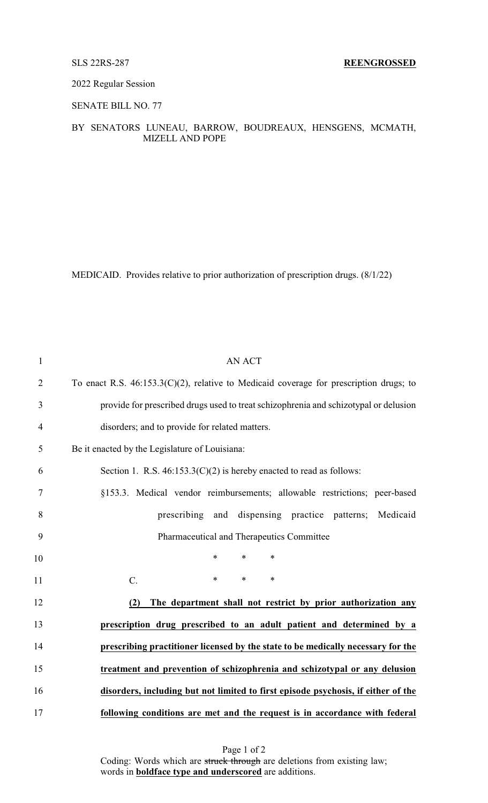## 2022 Regular Session

SENATE BILL NO. 77

## BY SENATORS LUNEAU, BARROW, BOUDREAUX, HENSGENS, MCMATH, MIZELL AND POPE

MEDICAID. Provides relative to prior authorization of prescription drugs. (8/1/22)

| $\mathbf{1}$   | <b>AN ACT</b>                                                                             |
|----------------|-------------------------------------------------------------------------------------------|
| $\overline{2}$ | To enact R.S. $46:153.3(C)(2)$ , relative to Medicaid coverage for prescription drugs; to |
| 3              | provide for prescribed drugs used to treat schizophrenia and schizotypal or delusion      |
| $\overline{4}$ | disorders; and to provide for related matters.                                            |
| 5              | Be it enacted by the Legislature of Louisiana:                                            |
| 6              | Section 1. R.S. $46:153.3(C)(2)$ is hereby enacted to read as follows:                    |
| 7              | §153.3. Medical vendor reimbursements; allowable restrictions; peer-based                 |
| 8              | prescribing and dispensing practice patterns; Medicaid                                    |
| 9              | Pharmaceutical and Therapeutics Committee                                                 |
| 10             | $\ast$<br>$\ast$<br>$\ast$                                                                |
| 11             | $\ast$<br>$\ast$<br>C.<br>$\ast$                                                          |
| 12             | The department shall not restrict by prior authorization any<br>(2)                       |
| 13             | prescription drug prescribed to an adult patient and determined by a                      |
| 14             | prescribing practitioner licensed by the state to be medically necessary for the          |
| 15             | treatment and prevention of schizophrenia and schizotypal or any delusion                 |
| 16             | disorders, including but not limited to first episode psychosis, if either of the         |
| 17             | following conditions are met and the request is in accordance with federal                |

Page 1 of 2 Coding: Words which are struck through are deletions from existing law; words in **boldface type and underscored** are additions.